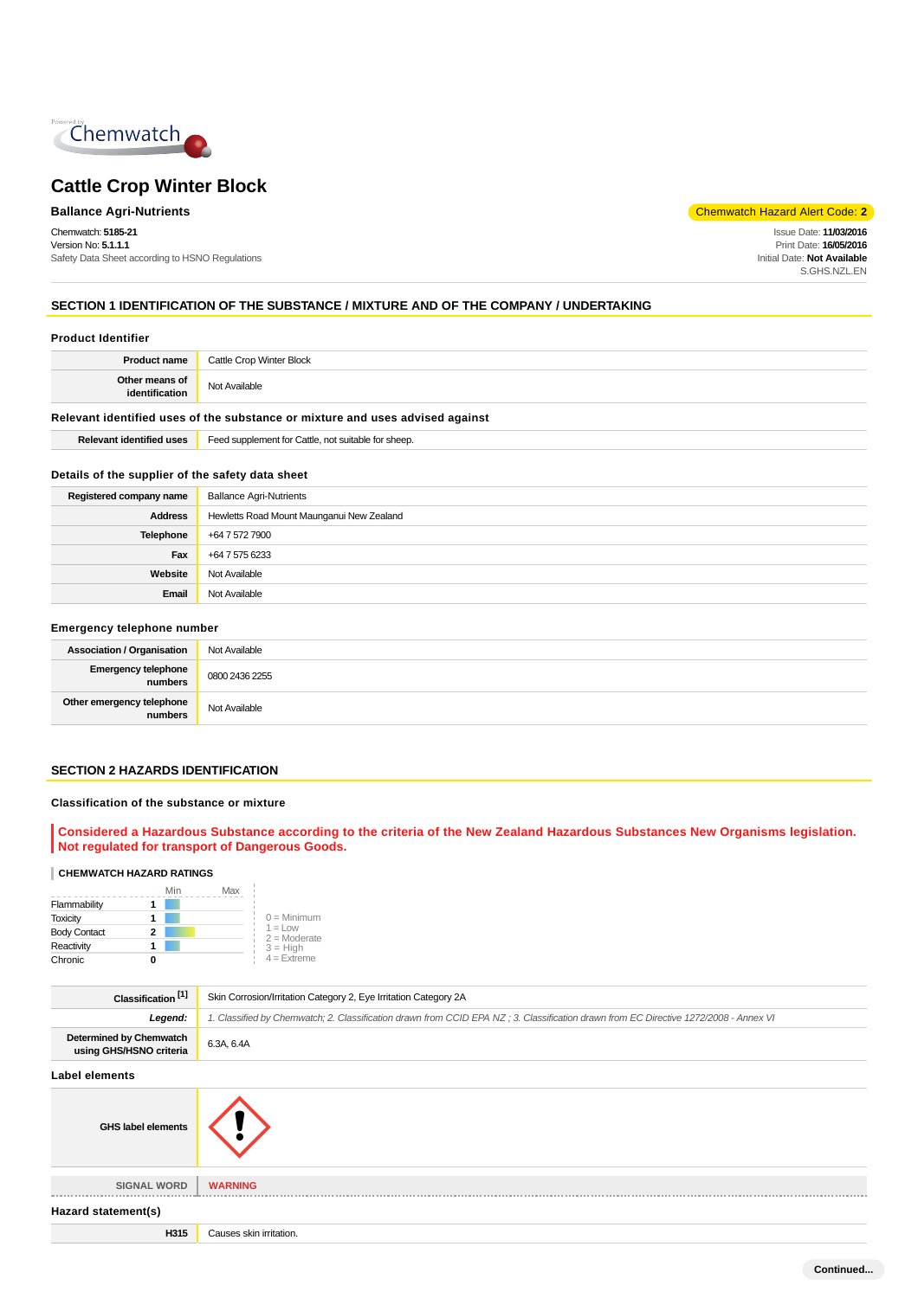

Chemwatch: **5185-21** Version No: **5.1.1.1** Safety Data Sheet according to HSNO Regulations

**Ballance Agri-Nutrients** Chemwatch Hazard Alert Code: **2** 

Issue Date: **11/03/2016** Print Date: **16/05/2016** Initial Date: **Not Available** S.GHS.NZL.EN

## **SECTION 1 IDENTIFICATION OF THE SUBSTANCE / MIXTURE AND OF THE COMPANY / UNDERTAKING**

| <b>Product Identifier</b>                        |                                                                               |
|--------------------------------------------------|-------------------------------------------------------------------------------|
| <b>Product name</b>                              | Cattle Crop Winter Block                                                      |
| Other means of<br>identification                 | Not Available                                                                 |
|                                                  | Relevant identified uses of the substance or mixture and uses advised against |
| <b>Relevant identified uses</b>                  | Feed supplement for Cattle, not suitable for sheep.                           |
| Details of the supplier of the safety data sheet |                                                                               |
| Registered company name                          | <b>Ballance Agri-Nutrients</b>                                                |
| <b>Address</b>                                   | Hewletts Road Mount Maunganui New Zealand                                     |
| Telephone                                        | +64 7 572 7900                                                                |
| Fax                                              | +64 7 575 6233                                                                |
| Website                                          | Not Available                                                                 |
| Email                                            | Not Available                                                                 |
|                                                  |                                                                               |

#### **Emergency telephone number**

| <b>Association / Organisation</b>            | Not Available  |
|----------------------------------------------|----------------|
| <b>Emergency telephone</b><br><b>numbers</b> | 0800 2436 2255 |
| Other emergency telephone<br>numbers         | Not Available  |

## **SECTION 2 HAZARDS IDENTIFICATION**

#### **Classification of the substance or mixture**

**Considered a Hazardous Substance according to the criteria of the New Zealand Hazardous Substances New Organisms legislation. Not regulated for transport of Dangerous Goods.**

#### **CHEMWATCH HAZARD RATINGS**

|                     | Min | Max |                                    |
|---------------------|-----|-----|------------------------------------|
| Flammability        |     |     |                                    |
| <b>Toxicity</b>     |     |     | $0 =$ Minimum                      |
| <b>Body Contact</b> | 2   |     | $1 = 1$ $\Omega$<br>$2 =$ Moderate |
| Reactivity          |     |     | $3 = High$                         |
| Chronic             |     |     | $4$ = Extreme                      |

| Classification <sup>[1]</sup>                      | Skin Corrosion/Irritation Category 2, Eye Irritation Category 2A                                                                     |
|----------------------------------------------------|--------------------------------------------------------------------------------------------------------------------------------------|
| Legend:                                            | 1. Classified by Chemwatch; 2. Classification drawn from CCID EPA NZ; 3. Classification drawn from EC Directive 1272/2008 - Annex VI |
| Determined by Chemwatch<br>using GHS/HSNO criteria | 6.3A, 6.4A                                                                                                                           |
| <b>Label elements</b>                              |                                                                                                                                      |
| <b>GHS label elements</b>                          |                                                                                                                                      |
| <b>SIGNAL WORD</b>                                 | <b>WARNING</b>                                                                                                                       |
| Hazard statement(s)                                |                                                                                                                                      |
| H315                                               | Causes skin irritation.                                                                                                              |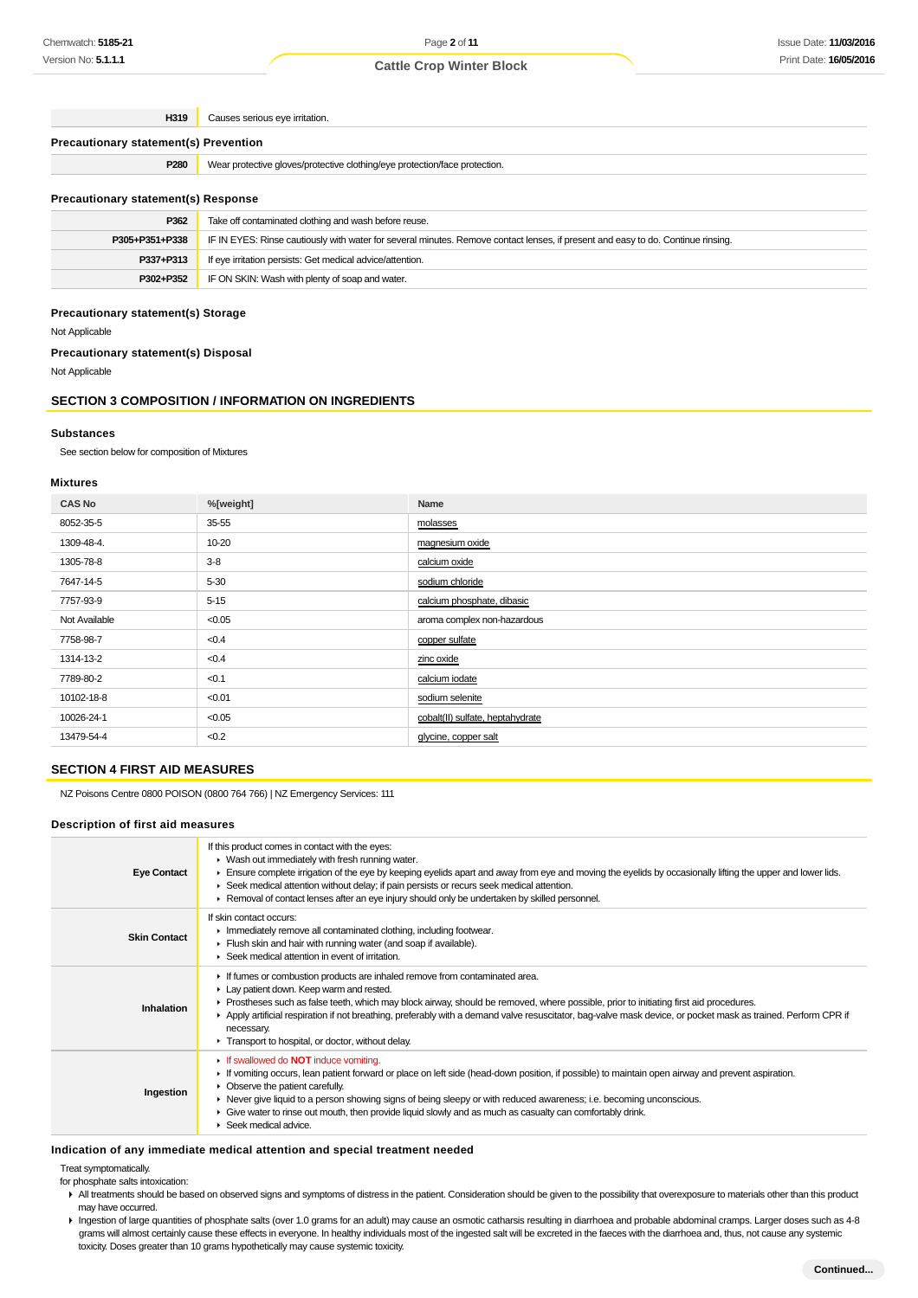**H319** Causes serious eye irritation.

## **Precautionary statement(s) Prevention**

| P280 | aloves/protective clothina/eve p :<br>e protection/face protection.<br>, protective<br>Vear |
|------|---------------------------------------------------------------------------------------------|

#### **Precautionary statement(s) Response**

| P362           | Take off contaminated clothing and wash before reuse.                                                                            |
|----------------|----------------------------------------------------------------------------------------------------------------------------------|
| P305+P351+P338 | IF IN EYES: Rinse cautiously with water for several minutes. Remove contact lenses, if present and easy to do. Continue rinsing. |
| P337+P313      | If eye irritation persists: Get medical advice/attention.                                                                        |
| P302+P352      | IF ON SKIN: Wash with plenty of soap and water.                                                                                  |

#### **Precautionary statement(s) Storage**

Not Applicable

#### **Precautionary statement(s) Disposal**

Not Applicable

# **SECTION 3 COMPOSITION / INFORMATION ON INGREDIENTS**

#### **Substances**

See section below for composition of Mixtures

#### **Mixtures**

| <b>CAS No</b> | %[weight] | Name                             |
|---------------|-----------|----------------------------------|
| 8052-35-5     | 35-55     | molasses                         |
| 1309-48-4.    | 10-20     | magnesium oxide                  |
| 1305-78-8     | $3-8$     | calcium oxide                    |
| 7647-14-5     | $5 - 30$  | sodium chloride                  |
| 7757-93-9     | $5 - 15$  | calcium phosphate, dibasic       |
| Not Available | < 0.05    | aroma complex non-hazardous      |
| 7758-98-7     | < 0.4     | copper sulfate                   |
| 1314-13-2     | < 0.4     | zinc oxide                       |
| 7789-80-2     | < 0.1     | calcium iodate                   |
| 10102-18-8    | < 0.01    | sodium selenite                  |
| 10026-24-1    | < 0.05    | cobalt(II) sulfate, heptahydrate |
| 13479-54-4    | < 0.2     | glycine, copper salt             |
|               |           |                                  |

### **SECTION 4 FIRST AID MEASURES**

NZ Poisons Centre 0800 POISON (0800 764 766) | NZ Emergency Services: 111

#### **Description of first aid measures**

| <b>Eye Contact</b>  | If this product comes in contact with the eyes:<br>$\blacktriangleright$ Wash out immediately with fresh running water.<br>Ensure complete irrigation of the eye by keeping eyelids apart and away from eye and moving the eyelids by occasionally lifting the upper and lower lids.<br>▶ Seek medical attention without delay; if pain persists or recurs seek medical attention.<br>Removal of contact lenses after an eye injury should only be undertaken by skilled personnel.                             |
|---------------------|-----------------------------------------------------------------------------------------------------------------------------------------------------------------------------------------------------------------------------------------------------------------------------------------------------------------------------------------------------------------------------------------------------------------------------------------------------------------------------------------------------------------|
| <b>Skin Contact</b> | If skin contact occurs:<br>Inmediately remove all contaminated clothing, including footwear.<br>Flush skin and hair with running water (and soap if available).<br>$\triangleright$ Seek medical attention in event of irritation.                                                                                                                                                                                                                                                                              |
| Inhalation          | If fumes or combustion products are inhaled remove from contaminated area.<br>Lay patient down. Keep warm and rested.<br>► Prostheses such as false teeth, which may block airway, should be removed, where possible, prior to initiating first aid procedures.<br>▶ Apply artificial respiration if not breathing, preferably with a demand valve resuscitator, bag-valve mask device, or pocket mask as trained. Perform CPR if<br>necessary.<br>Transport to hospital, or doctor, without delay.             |
| Ingestion           | If swallowed do <b>NOT</b> induce vomiting.<br>If vomiting occurs, lean patient forward or place on left side (head-down position, if possible) to maintain open airway and prevent aspiration.<br>$\triangleright$ Observe the patient carefully.<br>► Never give liquid to a person showing signs of being sleepy or with reduced awareness; i.e. becoming unconscious.<br>• Give water to rinse out mouth, then provide liquid slowly and as much as casualty can comfortably drink.<br>Seek medical advice. |

#### **Indication of any immediate medical attention and special treatment needed**

Treat symptomatically.

for phosphate salts intoxication:

All treatments should be based on observed signs and symptoms of distress in the patient. Consideration should be given to the possibility that overexposure to materials other than this product may have occurred.

Ingestion of large quantities of phosphate salts (over 1.0 grams for an adult) may cause an osmotic catharsis resulting in diarrhoea and probable abdominal cramps. Larger doses such as 4-8 grams will almost certainly cause these effects in everyone. In healthy individuals most of the ingested salt will be excreted in the faeces with the diarrhoea and, thus, not cause any systemic toxicity. Doses greater than 10 grams hypothetically may cause systemic toxicity.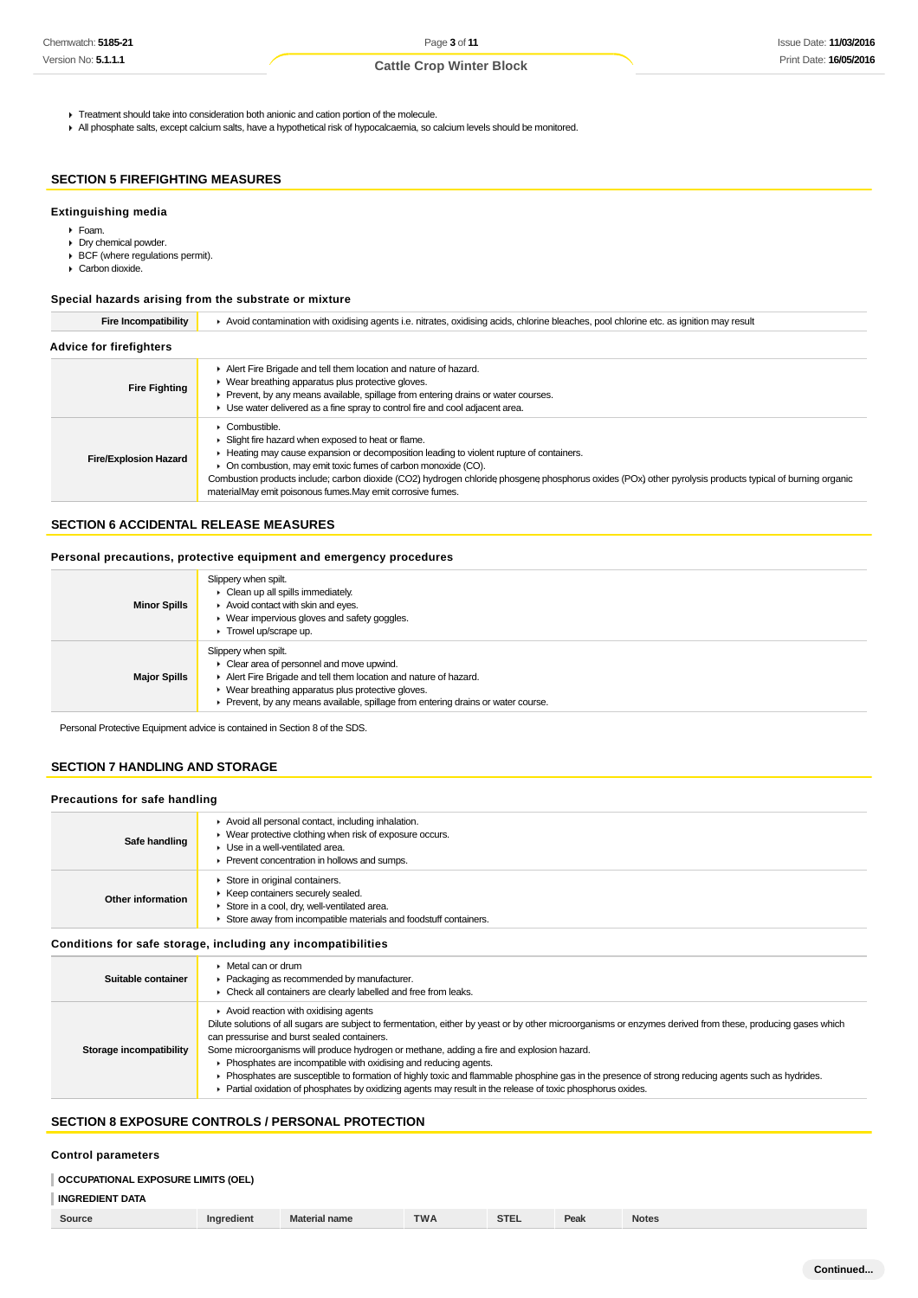- **F** Treatment should take into consideration both anionic and cation portion of the molecule.
- All phosphate salts, except calcium salts, have a hypothetical risk of hypocalcaemia, so calcium levels should be monitored.

## **SECTION 5 FIREFIGHTING MEASURES**

# **Extinguishing media**

- Foam.
- Dry chemical powder.
- BCF (where regulations permit).
- Carbon dioxide.

## **Special hazards arising from the substrate or mixture**

| <b>Fire Incompatibility</b>    | ▶ Avoid contamination with oxidising agents i.e. nitrates, oxidising acids, chlorine bleaches, pool chlorine etc. as ignition may result                                                                                                                                                                                                                                                                                                                |  |  |  |  |  |  |
|--------------------------------|---------------------------------------------------------------------------------------------------------------------------------------------------------------------------------------------------------------------------------------------------------------------------------------------------------------------------------------------------------------------------------------------------------------------------------------------------------|--|--|--|--|--|--|
| <b>Advice for firefighters</b> |                                                                                                                                                                                                                                                                                                                                                                                                                                                         |  |  |  |  |  |  |
| <b>Fire Fighting</b>           | Alert Fire Brigade and tell them location and nature of hazard.<br>$\triangleright$ Wear breathing apparatus plus protective gloves.<br>Prevent, by any means available, spillage from entering drains or water courses.<br>Use water delivered as a fine spray to control fire and cool adjacent area.                                                                                                                                                 |  |  |  |  |  |  |
| <b>Fire/Explosion Hazard</b>   | Combustible.<br>Slight fire hazard when exposed to heat or flame.<br>Heating may cause expansion or decomposition leading to violent rupture of containers.<br>• On combustion, may emit toxic fumes of carbon monoxide (CO).<br>Combustion products include; carbon dioxide (CO2) hydrogen chloride phosgene phosphorus oxides (POx) other pyrolysis products typical of burning organic<br>materialMay emit poisonous fumes.May emit corrosive fumes. |  |  |  |  |  |  |

#### **SECTION 6 ACCIDENTAL RELEASE MEASURES**

#### **Personal precautions, protective equipment and emergency procedures**

| <b>Minor Spills</b> | Slippery when spilt.<br>$\triangleright$ Clean up all spills immediately.<br>Avoid contact with skin and eyes.<br>$\triangleright$ Wear impervious gloves and safety goggles.<br>$\blacktriangleright$ Trowel up/scrape up.                                                                     |
|---------------------|-------------------------------------------------------------------------------------------------------------------------------------------------------------------------------------------------------------------------------------------------------------------------------------------------|
| <b>Major Spills</b> | Slippery when spilt.<br>$\triangleright$ Clear area of personnel and move upwind.<br>Alert Fire Brigade and tell them location and nature of hazard.<br>• Wear breathing apparatus plus protective gloves.<br>• Prevent, by any means available, spillage from entering drains or water course. |

Personal Protective Equipment advice is contained in Section 8 of the SDS.

# **SECTION 7 HANDLING AND STORAGE**

#### **Precautions for safe handling**

| Safe handling     | Avoid all personal contact, including inhalation.<br>▶ Wear protective clothing when risk of exposure occurs.<br>▶ Use in a well-ventilated area.<br>▶ Prevent concentration in hollows and sumps. |
|-------------------|----------------------------------------------------------------------------------------------------------------------------------------------------------------------------------------------------|
| Other information | Store in original containers.<br>▶ Keep containers securely sealed.<br>Store in a cool, dry, well-ventilated area.<br>Store away from incompatible materials and foodstuff containers.             |
|                   | Conditions for safe storage, including any incompatibilities                                                                                                                                       |

**Suitable container** ▶ Metal can or drum **Packaging as recommended by manufacturer.** ► Check all containers are clearly labelled and free from leaks. **Storage incompatibility** Avoid reaction with oxidising agents Dilute solutions of all sugars are subject to fermentation, either by yeast or by other microorganisms or enzymes derived from these, producing gases which can pressurise and burst sealed containers. Some microorganisms will produce hydrogen or methane, adding a fire and explosion hazard. **Phosphates are incompatible with oxidising and reducing agents.** Phosphates are susceptible to formation of highly toxic and flammable phosphine gas in the presence of strong reducing agents such as hydrides. Partial oxidation of phosphates by oxidizing agents may result in the release of toxic phosphorus oxides.

# **SECTION 8 EXPOSURE CONTROLS / PERSONAL PROTECTION**

#### **Control parameters**

# **OCCUPATIONAL EXPOSURE LIMITS (OEL) INGREDIENT DATA**

| Source | 'naredient | Material name | <b>TWA</b><br><b>I AA</b> | <b>STEL</b> | Peak | <b>Notes</b> |
|--------|------------|---------------|---------------------------|-------------|------|--------------|
|        |            |               |                           |             |      |              |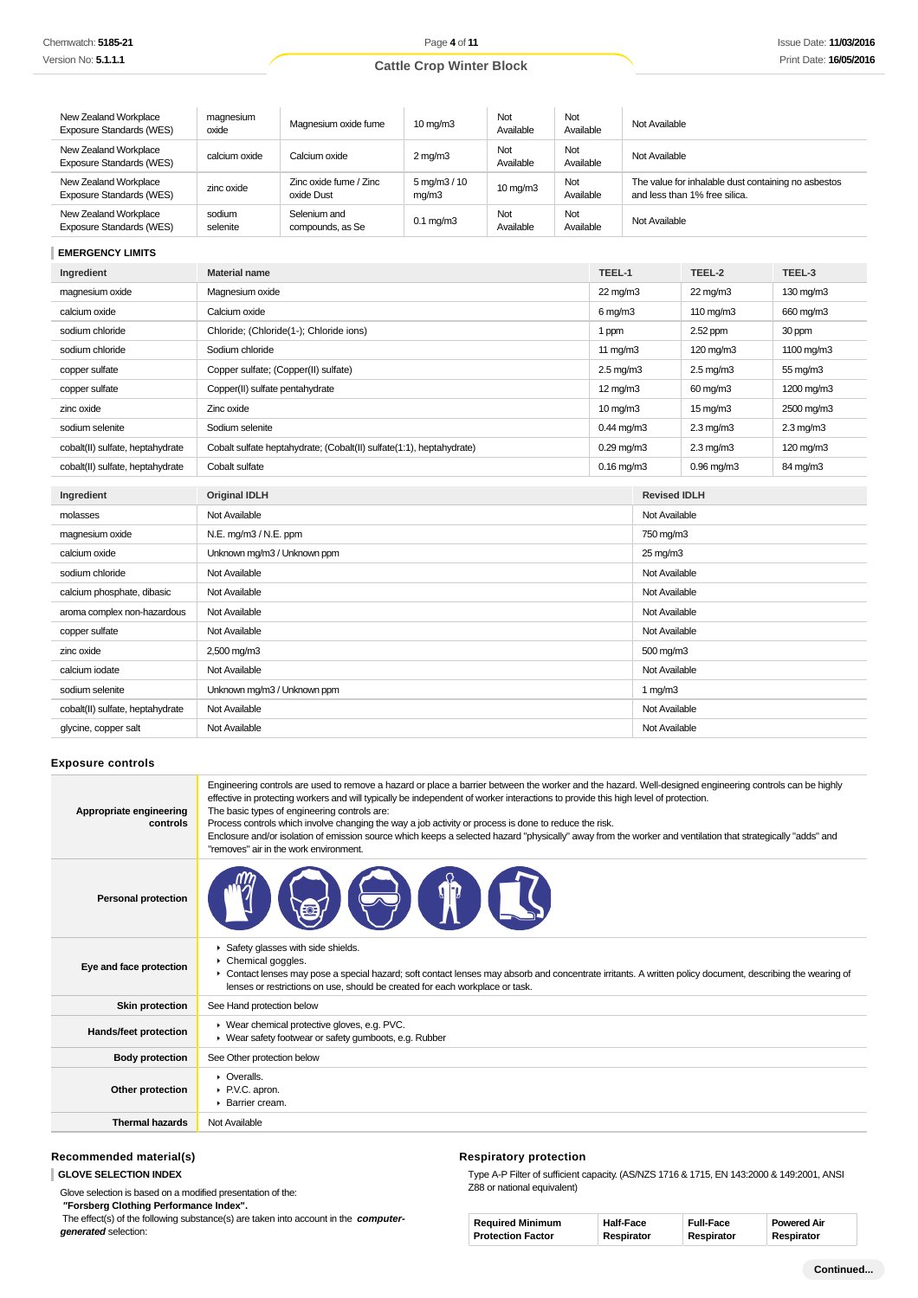| New Zealand Workplace<br>Exposure Standards (WES) | magnesium<br>oxide | Magnesium oxide fume                 | $10 \text{ mg/m}$                  | Not<br>Available  | Not<br>Available | Not Available                                                                        |
|---------------------------------------------------|--------------------|--------------------------------------|------------------------------------|-------------------|------------------|--------------------------------------------------------------------------------------|
| New Zealand Workplace<br>Exposure Standards (WES) | calcium oxide      | Calcium oxide                        | $2 \,\mathrm{mq/m}$ 3              | Not<br>Available  | Not<br>Available | Not Available                                                                        |
| New Zealand Workplace<br>Exposure Standards (WES) | zinc oxide         | Zinc oxide fume / Zinc<br>oxide Dust | $5 \,\mathrm{mq/m}3 / 10$<br>mq/m3 | $10 \text{ mg/m}$ | Not<br>Available | The value for inhalable dust containing no asbestos<br>and less than 1% free silica. |
| New Zealand Workplace<br>Exposure Standards (WES) | sodium<br>selenite | Selenium and<br>compounds, as Se     | $0.1 \text{ mg/m}$                 | Not<br>Available  | Not<br>Available | Not Available                                                                        |

# **EMERGENCY LIMITS**

| Ingredient                       | <b>Material name</b>                                                 | TEEL-1                |                     | TEEL-2               | TEEL-3         |
|----------------------------------|----------------------------------------------------------------------|-----------------------|---------------------|----------------------|----------------|
| magnesium oxide                  | Magnesium oxide                                                      | $22 \text{ mg/m}$     |                     | $22 \text{ mg/m}$    | 130 mg/m3      |
| calcium oxide                    | Calcium oxide                                                        | $6 \,\mathrm{mq/m}$ 3 |                     | 110 mg/m3            | 660 mg/m3      |
| sodium chloride                  | Chloride; (Chloride(1-); Chloride ions)                              | 1 ppm                 |                     | 2.52 ppm             | 30 ppm         |
| sodium chloride                  | Sodium chloride                                                      | 11 $mg/m3$            |                     | 120 mg/m3            | 1100 mg/m3     |
| copper sulfate                   | Copper sulfate; (Copper(II) sulfate)                                 | $2.5 \text{ mg/m}$ 3  |                     | $2.5 \text{ mg/m}$ 3 | 55 mg/m3       |
| copper sulfate                   | Copper(II) sulfate pentahydrate                                      | 12 mg/m3              |                     | 60 mg/m3             | 1200 mg/m3     |
| zinc oxide                       | Zinc oxide                                                           | $10 \,\mathrm{mq/m}$  |                     | $15 \,\mathrm{mq/m}$ | 2500 mg/m3     |
| sodium selenite                  | Sodium selenite                                                      | $0.44$ mg/m $3$       |                     | $2.3 \text{ mg/m}$   | $2.3$ mg/m $3$ |
| cobalt(II) sulfate, heptahydrate | Cobalt sulfate heptahydrate; (Cobalt(II) sulfate(1:1), heptahydrate) | $0.29$ mg/m $3$       |                     | $2.3 \text{ mg/m}$   | 120 mg/m3      |
| cobalt(II) sulfate, heptahydrate | Cobalt sulfate                                                       | $0.16$ mg/m $3$       |                     | $0.96$ mg/m $3$      | 84 mg/m3       |
| Ingredient                       | <b>Original IDLH</b>                                                 |                       | <b>Revised IDLH</b> |                      |                |
| molasses                         | Not Available                                                        |                       | Not Available       |                      |                |
|                                  |                                                                      |                       |                     |                      |                |
| magnesium oxide                  | N.E. mg/m3 / N.E. ppm                                                |                       | 750 mg/m3           |                      |                |
| calcium oxide                    | Unknown mg/m3 / Unknown ppm                                          |                       | 25 mg/m3            |                      |                |
| sodium chloride                  | Not Available                                                        |                       | Not Available       |                      |                |
| calcium phosphate, dibasic       | Not Available                                                        |                       | Not Available       |                      |                |
| aroma complex non-hazardous      | Not Available                                                        |                       | Not Available       |                      |                |
| copper sulfate                   | Not Available                                                        |                       | Not Available       |                      |                |
| zinc oxide                       | 2,500 mg/m3                                                          |                       | 500 mg/m3           |                      |                |
| calcium iodate                   | Not Available                                                        |                       | Not Available       |                      |                |
| sodium selenite                  | Unknown mg/m3 / Unknown ppm                                          |                       | 1 $mg/m3$           |                      |                |
| cobalt(II) sulfate, heptahydrate | Not Available                                                        |                       | Not Available       |                      |                |
| glycine, copper salt             | Not Available                                                        |                       | Not Available       |                      |                |

#### **Exposure controls**

| Appropriate engineering<br>controls | Engineering controls are used to remove a hazard or place a barrier between the worker and the hazard. Well-designed engineering controls can be highly<br>effective in protecting workers and will typically be independent of worker interactions to provide this high level of protection.<br>The basic types of engineering controls are:<br>Process controls which involve changing the way a job activity or process is done to reduce the risk.<br>Enclosure and/or isolation of emission source which keeps a selected hazard "physically" away from the worker and ventilation that strategically "adds" and<br>"removes" air in the work environment. |
|-------------------------------------|-----------------------------------------------------------------------------------------------------------------------------------------------------------------------------------------------------------------------------------------------------------------------------------------------------------------------------------------------------------------------------------------------------------------------------------------------------------------------------------------------------------------------------------------------------------------------------------------------------------------------------------------------------------------|
| <b>Personal protection</b>          |                                                                                                                                                                                                                                                                                                                                                                                                                                                                                                                                                                                                                                                                 |
| Eye and face protection             | Safety glasses with side shields.<br>Chemical goggles.<br>► Contact lenses may pose a special hazard; soft contact lenses may absorb and concentrate irritants. A written policy document, describing the wearing of<br>lenses or restrictions on use, should be created for each workplace or task.                                                                                                                                                                                                                                                                                                                                                            |
| <b>Skin protection</b>              | See Hand protection below                                                                                                                                                                                                                                                                                                                                                                                                                                                                                                                                                                                                                                       |
| Hands/feet protection               | ▶ Wear chemical protective gloves, e.g. PVC.<br>• Wear safety footwear or safety gumboots, e.g. Rubber                                                                                                                                                                                                                                                                                                                                                                                                                                                                                                                                                          |
| <b>Body protection</b>              | See Other protection below                                                                                                                                                                                                                                                                                                                                                                                                                                                                                                                                                                                                                                      |
| Other protection                    | $\triangleright$ Overalls.<br>▶ P.V.C. apron.<br>Barrier cream.                                                                                                                                                                                                                                                                                                                                                                                                                                                                                                                                                                                                 |
| <b>Thermal hazards</b>              | Not Available                                                                                                                                                                                                                                                                                                                                                                                                                                                                                                                                                                                                                                                   |

# **Recommended material(s)**

**GLOVE SELECTION INDEX**

Glove selection is based on a modified presentation of the:

 **"Forsberg Clothing Performance Index".**

 The effect(s) of the following substance(s) are taken into account in the **computergenerated** selection:

# **Respiratory protection**

Type A-P Filter of sufficient capacity. (AS/NZS 1716 & 1715, EN 143:2000 & 149:2001, ANSI Z88 or national equivalent)

| <b>Required Minimum</b>  | <b>Half-Face</b> | <b>Full-Face</b> | <b>Powered Air</b> |
|--------------------------|------------------|------------------|--------------------|
| <b>Protection Factor</b> | Respirator       | Respirator       | Respirator         |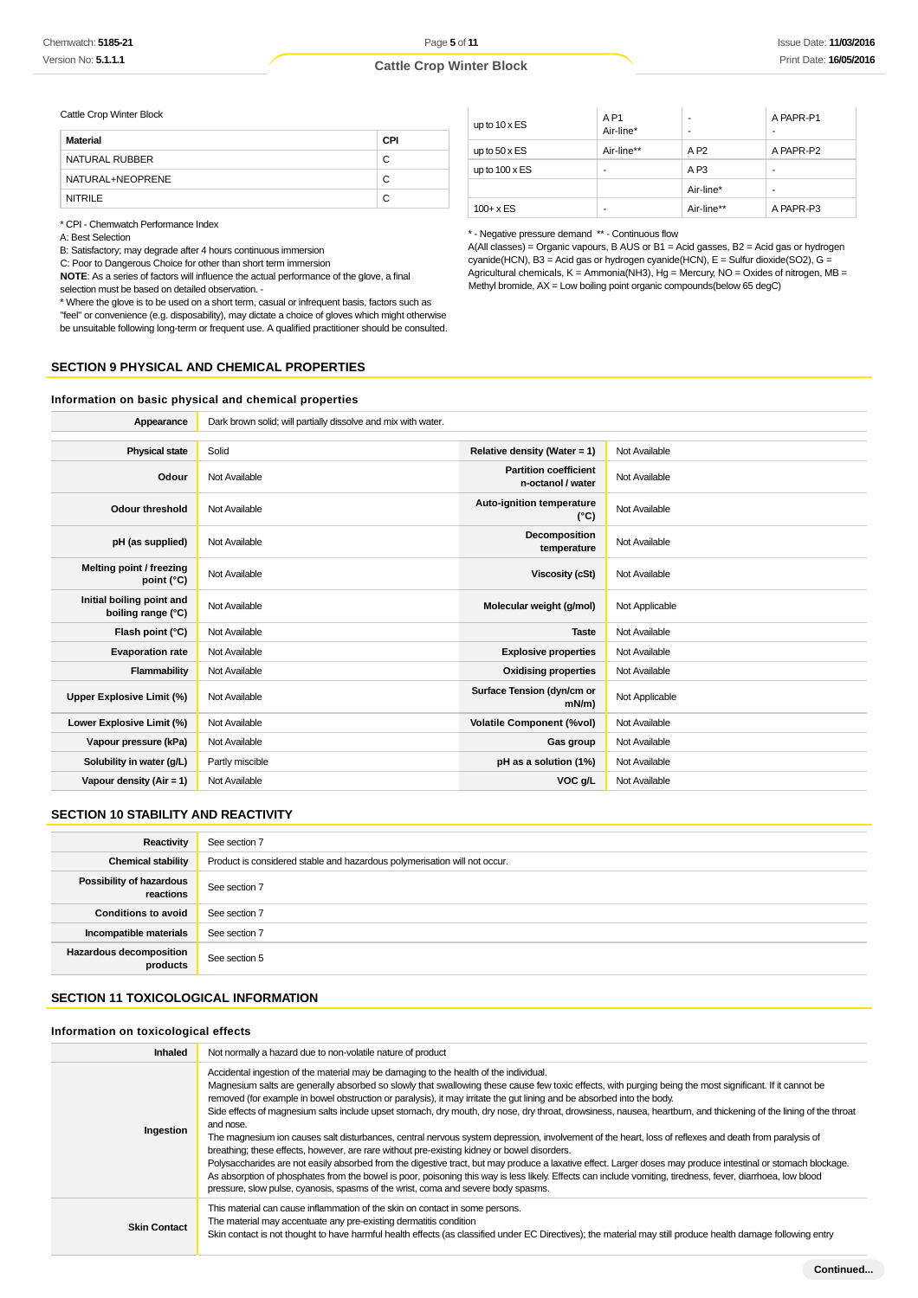Page **5** of **11**

### **Cattle Crop Winter Block**

Cattle Crop Winter Block

| Material         | CPI |
|------------------|-----|
| NATURAL RUBBER   | C   |
| NATURAL+NEOPRENE | C   |
| <b>NITRILE</b>   | C   |

\* CPI - Chemwatch Performance Index

A: Best Selection

B: Satisfactory; may degrade after 4 hours continuous immersion

C: Poor to Dangerous Choice for other than short term immersion

**NOTE**: As a series of factors will influence the actual performance of the glove, a final selection must be based on detailed observation. -

\* Where the glove is to be used on a short term, casual or infrequent basis, factors such as "feel" or convenience (e.g. disposability), may dictate a choice of gloves which might otherwise be unsuitable following long-term or frequent use. A qualified practitioner should be consulted.

| up to $10 \times ES$  | AP <sub>1</sub><br>Air-line* | ۰               | A PAPR-P1<br>- |
|-----------------------|------------------------------|-----------------|----------------|
| up to $50 \times ES$  | Air-line**                   | AP2             | A PAPR-P2      |
| up to $100 \times ES$ | -                            | A <sub>P3</sub> | ۰              |
|                       |                              | Air-line*       | -              |
| $100 + x ES$          | ۰                            | Air-line**      | A PAPR-P3      |

\* - Negative pressure demand \*\* - Continuous flow

 $A($ All classes) = Organic vapours, B AUS or B1 = Acid gasses, B2 = Acid gas or hydrogen cyanide(HCN), B3 = Acid gas or hydrogen cyanide(HCN), E = Sulfur dioxide(SO2), G = Agricultural chemicals, K = Ammonia(NH3), Hg = Mercury, NO = Oxides of nitrogen, MB = Methyl bromide,  $AX = Low$  boiling point organic compounds(below 65 degC)

#### **SECTION 9 PHYSICAL AND CHEMICAL PROPERTIES**

#### **Information on basic physical and chemical properties**

| Appearance                                      | Dark brown solid; will partially dissolve and mix with water. |                                                   |                |
|-------------------------------------------------|---------------------------------------------------------------|---------------------------------------------------|----------------|
|                                                 |                                                               |                                                   |                |
| <b>Physical state</b>                           | Solid                                                         | Relative density (Water = 1)                      | Not Available  |
| Odour                                           | Not Available                                                 | <b>Partition coefficient</b><br>n-octanol / water | Not Available  |
| <b>Odour threshold</b>                          | Not Available                                                 | Auto-ignition temperature<br>$(^{\circ}C)$        | Not Available  |
| pH (as supplied)                                | Not Available                                                 | Decomposition<br>temperature                      | Not Available  |
| Melting point / freezing<br>point (°C)          | Not Available                                                 | <b>Viscosity (cSt)</b>                            | Not Available  |
| Initial boiling point and<br>boiling range (°C) | Not Available                                                 | Molecular weight (g/mol)                          | Not Applicable |
| Flash point (°C)                                | Not Available                                                 | <b>Taste</b>                                      | Not Available  |
| <b>Evaporation rate</b>                         | Not Available                                                 | <b>Explosive properties</b>                       | Not Available  |
| Flammability                                    | Not Available                                                 | <b>Oxidising properties</b>                       | Not Available  |
| Upper Explosive Limit (%)                       | Not Available                                                 | Surface Tension (dyn/cm or<br>$mN/m$ )            | Not Applicable |
| Lower Explosive Limit (%)                       | Not Available                                                 | <b>Volatile Component (%vol)</b>                  | Not Available  |
| Vapour pressure (kPa)                           | Not Available                                                 | Gas group                                         | Not Available  |
| Solubility in water (g/L)                       | Partly miscible                                               | pH as a solution (1%)                             | Not Available  |
| Vapour density $(Air = 1)$                      | Not Available                                                 | VOC g/L                                           | Not Available  |

#### **SECTION 10 STABILITY AND REACTIVITY**

| Reactivity                                 | See section 7                                                             |
|--------------------------------------------|---------------------------------------------------------------------------|
| <b>Chemical stability</b>                  | Product is considered stable and hazardous polymerisation will not occur. |
| Possibility of hazardous<br>reactions      | See section 7                                                             |
| <b>Conditions to avoid</b>                 | See section 7                                                             |
| Incompatible materials                     | See section 7                                                             |
| <b>Hazardous decomposition</b><br>products | See section 5                                                             |

#### **SECTION 11 TOXICOLOGICAL INFORMATION**

#### **Information on toxicological effects**

| <b>Inhaled</b>      | Not normally a hazard due to non-volatile nature of product                                                                                                                                                                                                                                                                                                                                                                                                                                                                                                                                                                                                                                                                                                                                                                                                                                                                                                                                                                                                                                                                                                                                                                                |
|---------------------|--------------------------------------------------------------------------------------------------------------------------------------------------------------------------------------------------------------------------------------------------------------------------------------------------------------------------------------------------------------------------------------------------------------------------------------------------------------------------------------------------------------------------------------------------------------------------------------------------------------------------------------------------------------------------------------------------------------------------------------------------------------------------------------------------------------------------------------------------------------------------------------------------------------------------------------------------------------------------------------------------------------------------------------------------------------------------------------------------------------------------------------------------------------------------------------------------------------------------------------------|
| Ingestion           | Accidental ingestion of the material may be damaging to the health of the individual.<br>Magnesium salts are generally absorbed so slowly that swallowing these cause few toxic effects, with purging being the most significant. If it cannot be<br>removed (for example in bowel obstruction or paralysis), it may irritate the gut lining and be absorbed into the body.<br>Side effects of magnesium salts include upset stomach, dry mouth, dry nose, dry throat, drowsiness, nausea, heartburn, and thickening of the lining of the throat<br>and nose.<br>The magnesium ion causes salt disturbances, central nervous system depression, involvement of the heart, loss of reflexes and death from paralysis of<br>breathing; these effects, however, are rare without pre-existing kidney or bowel disorders.<br>Polysaccharides are not easily absorbed from the digestive tract, but may produce a laxative effect. Larger doses may produce intestinal or stomach blockage.<br>As absorption of phosphates from the bowel is poor, poisoning this way is less likely. Effects can include vomiting, tiredness, fever, diarrhoea, low blood<br>pressure, slow pulse, cyanosis, spasms of the wrist, coma and severe body spasms. |
| <b>Skin Contact</b> | This material can cause inflammation of the skin on contact in some persons.<br>The material may accentuate any pre-existing dermatitis condition<br>Skin contact is not thought to have harmful health effects (as classified under EC Directives); the material may still produce health damage following entry                                                                                                                                                                                                                                                                                                                                                                                                                                                                                                                                                                                                                                                                                                                                                                                                                                                                                                                          |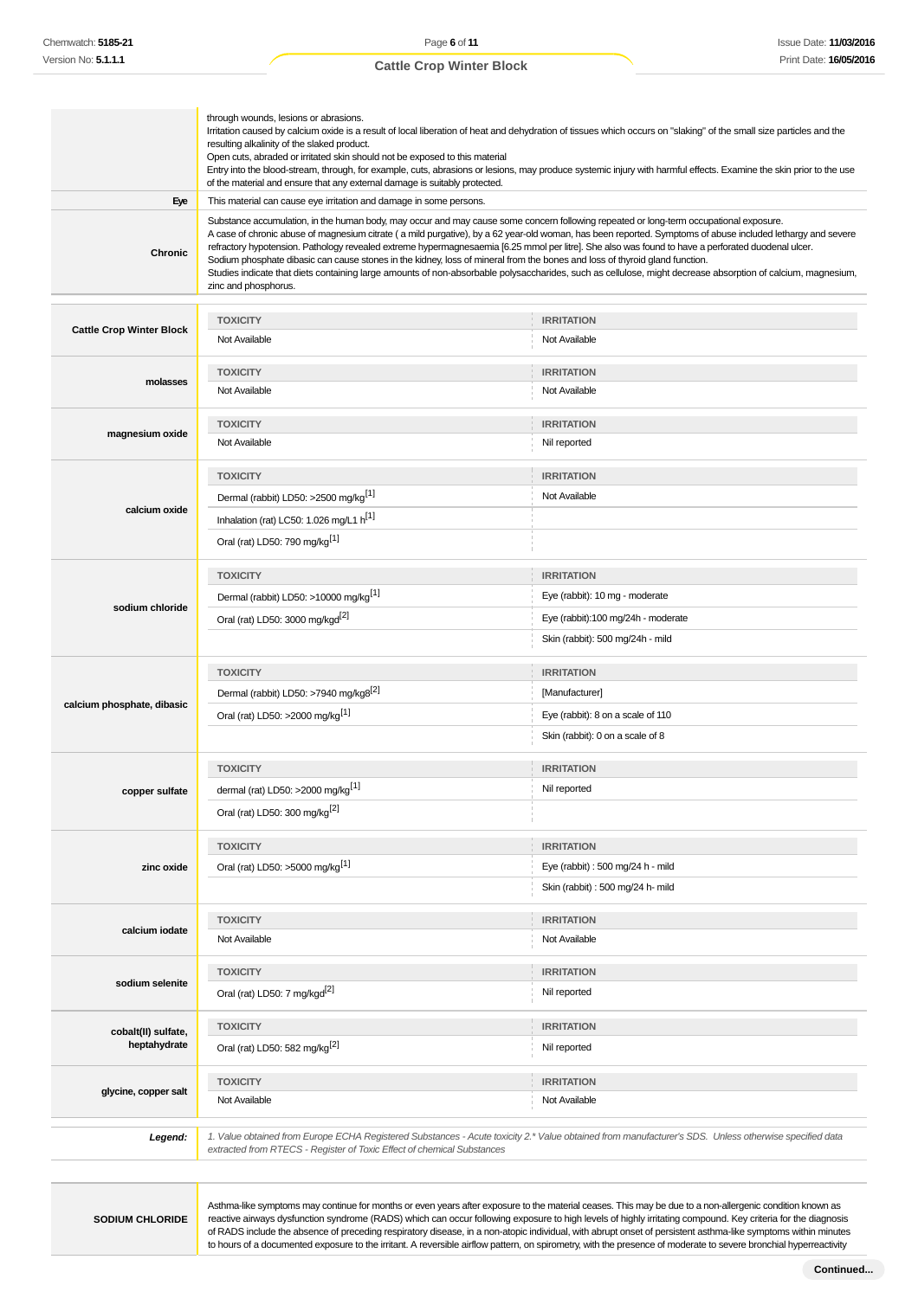|                                 | through wounds, lesions or abrasions.<br>Irritation caused by calcium oxide is a result of local liberation of heat and dehydration of tissues which occurs on "slaking" of the small size particles and the<br>resulting alkalinity of the slaked product.<br>Open cuts, abraded or irritated skin should not be exposed to this material<br>Entry into the blood-stream, through, for example, cuts, abrasions or lesions, may produce systemic injury with harmful effects. Examine the skin prior to the use<br>of the material and ensure that any external damage is suitably protected.                                                                                                                                                                                   |                                                                                                                                                       |  |
|---------------------------------|----------------------------------------------------------------------------------------------------------------------------------------------------------------------------------------------------------------------------------------------------------------------------------------------------------------------------------------------------------------------------------------------------------------------------------------------------------------------------------------------------------------------------------------------------------------------------------------------------------------------------------------------------------------------------------------------------------------------------------------------------------------------------------|-------------------------------------------------------------------------------------------------------------------------------------------------------|--|
| Eye                             | This material can cause eye irritation and damage in some persons.                                                                                                                                                                                                                                                                                                                                                                                                                                                                                                                                                                                                                                                                                                               |                                                                                                                                                       |  |
| Chronic                         | Substance accumulation, in the human body, may occur and may cause some concern following repeated or long-term occupational exposure.<br>A case of chronic abuse of magnesium citrate (a mild purgative), by a 62 year-old woman, has been reported. Symptoms of abuse included lethargy and severe<br>refractory hypotension. Pathology revealed extreme hypermagnesaemia [6.25 mmol per litre]. She also was found to have a perforated duodenal ulcer.<br>Sodium phosphate dibasic can cause stones in the kidney, loss of mineral from the bones and loss of thyroid gland function.<br>Studies indicate that diets containing large amounts of non-absorbable polysaccharides, such as cellulose, might decrease absorption of calcium, magnesium,<br>zinc and phosphorus. |                                                                                                                                                       |  |
|                                 | <b>TOXICITY</b>                                                                                                                                                                                                                                                                                                                                                                                                                                                                                                                                                                                                                                                                                                                                                                  | <b>IRRITATION</b>                                                                                                                                     |  |
| <b>Cattle Crop Winter Block</b> | Not Available                                                                                                                                                                                                                                                                                                                                                                                                                                                                                                                                                                                                                                                                                                                                                                    | Not Available                                                                                                                                         |  |
|                                 | <b>TOXICITY</b>                                                                                                                                                                                                                                                                                                                                                                                                                                                                                                                                                                                                                                                                                                                                                                  | <b>IRRITATION</b>                                                                                                                                     |  |
| molasses                        | Not Available                                                                                                                                                                                                                                                                                                                                                                                                                                                                                                                                                                                                                                                                                                                                                                    | Not Available                                                                                                                                         |  |
|                                 | <b>TOXICITY</b>                                                                                                                                                                                                                                                                                                                                                                                                                                                                                                                                                                                                                                                                                                                                                                  | <b>IRRITATION</b>                                                                                                                                     |  |
| magnesium oxide                 | Not Available                                                                                                                                                                                                                                                                                                                                                                                                                                                                                                                                                                                                                                                                                                                                                                    | Nil reported                                                                                                                                          |  |
|                                 | <b>TOXICITY</b>                                                                                                                                                                                                                                                                                                                                                                                                                                                                                                                                                                                                                                                                                                                                                                  | <b>IRRITATION</b>                                                                                                                                     |  |
|                                 | Dermal (rabbit) LD50: >2500 mg/kg <sup>[1]</sup>                                                                                                                                                                                                                                                                                                                                                                                                                                                                                                                                                                                                                                                                                                                                 | Not Available                                                                                                                                         |  |
| calcium oxide                   | Inhalation (rat) LC50: 1.026 mg/L1 h <sup>[1]</sup>                                                                                                                                                                                                                                                                                                                                                                                                                                                                                                                                                                                                                                                                                                                              |                                                                                                                                                       |  |
|                                 | Oral (rat) LD50: 790 mg/kg <sup>[1]</sup>                                                                                                                                                                                                                                                                                                                                                                                                                                                                                                                                                                                                                                                                                                                                        |                                                                                                                                                       |  |
|                                 | <b>TOXICITY</b>                                                                                                                                                                                                                                                                                                                                                                                                                                                                                                                                                                                                                                                                                                                                                                  | <b>IRRITATION</b>                                                                                                                                     |  |
|                                 | Dermal (rabbit) LD50: >10000 mg/kg <sup>[1]</sup>                                                                                                                                                                                                                                                                                                                                                                                                                                                                                                                                                                                                                                                                                                                                | Eye (rabbit): 10 mg - moderate                                                                                                                        |  |
| sodium chloride                 | Oral (rat) LD50: 3000 mg/kgd <sup>[2]</sup>                                                                                                                                                                                                                                                                                                                                                                                                                                                                                                                                                                                                                                                                                                                                      | Eye (rabbit):100 mg/24h - moderate                                                                                                                    |  |
|                                 |                                                                                                                                                                                                                                                                                                                                                                                                                                                                                                                                                                                                                                                                                                                                                                                  | Skin (rabbit): 500 mg/24h - mild                                                                                                                      |  |
|                                 | <b>TOXICITY</b>                                                                                                                                                                                                                                                                                                                                                                                                                                                                                                                                                                                                                                                                                                                                                                  | <b>IRRITATION</b>                                                                                                                                     |  |
|                                 | Dermal (rabbit) LD50: >7940 mg/kg8 <sup>[2]</sup>                                                                                                                                                                                                                                                                                                                                                                                                                                                                                                                                                                                                                                                                                                                                | [Manufacturer]                                                                                                                                        |  |
| calcium phosphate, dibasic      | Oral (rat) LD50: >2000 mg/kg <sup>[1]</sup>                                                                                                                                                                                                                                                                                                                                                                                                                                                                                                                                                                                                                                                                                                                                      | Eye (rabbit): 8 on a scale of 110                                                                                                                     |  |
|                                 |                                                                                                                                                                                                                                                                                                                                                                                                                                                                                                                                                                                                                                                                                                                                                                                  | Skin (rabbit): 0 on a scale of 8                                                                                                                      |  |
|                                 |                                                                                                                                                                                                                                                                                                                                                                                                                                                                                                                                                                                                                                                                                                                                                                                  |                                                                                                                                                       |  |
|                                 | <b>TOXICITY</b>                                                                                                                                                                                                                                                                                                                                                                                                                                                                                                                                                                                                                                                                                                                                                                  | <b>IRRITATION</b>                                                                                                                                     |  |
| copper sultate                  | dermal (rat) LD50: >2000 mg/kg <sup>[1]</sup>                                                                                                                                                                                                                                                                                                                                                                                                                                                                                                                                                                                                                                                                                                                                    | Nil reported                                                                                                                                          |  |
|                                 | Oral (rat) LD50: 300 mg/kg <sup>[2]</sup>                                                                                                                                                                                                                                                                                                                                                                                                                                                                                                                                                                                                                                                                                                                                        |                                                                                                                                                       |  |
|                                 | <b>TOXICITY</b>                                                                                                                                                                                                                                                                                                                                                                                                                                                                                                                                                                                                                                                                                                                                                                  | <b>IRRITATION</b>                                                                                                                                     |  |
| zinc oxide                      | Oral (rat) LD50: >5000 mg/kg <sup>[1]</sup>                                                                                                                                                                                                                                                                                                                                                                                                                                                                                                                                                                                                                                                                                                                                      | Eye (rabbit) : 500 mg/24 h - mild                                                                                                                     |  |
|                                 |                                                                                                                                                                                                                                                                                                                                                                                                                                                                                                                                                                                                                                                                                                                                                                                  | Skin (rabbit) : 500 mg/24 h- mild                                                                                                                     |  |
| calcium iodate                  | <b>TOXICITY</b>                                                                                                                                                                                                                                                                                                                                                                                                                                                                                                                                                                                                                                                                                                                                                                  | <b>IRRITATION</b>                                                                                                                                     |  |
|                                 | Not Available                                                                                                                                                                                                                                                                                                                                                                                                                                                                                                                                                                                                                                                                                                                                                                    | Not Available                                                                                                                                         |  |
|                                 | <b>TOXICITY</b>                                                                                                                                                                                                                                                                                                                                                                                                                                                                                                                                                                                                                                                                                                                                                                  | <b>IRRITATION</b>                                                                                                                                     |  |
| sodium selenite                 | Oral (rat) LD50: 7 mg/kgd <sup>[2]</sup>                                                                                                                                                                                                                                                                                                                                                                                                                                                                                                                                                                                                                                                                                                                                         | Nil reported                                                                                                                                          |  |
| cobalt(II) sulfate,             | <b>TOXICITY</b>                                                                                                                                                                                                                                                                                                                                                                                                                                                                                                                                                                                                                                                                                                                                                                  | <b>IRRITATION</b>                                                                                                                                     |  |
| heptahydrate                    | Oral (rat) LD50: 582 mg/kg <sup>[2]</sup>                                                                                                                                                                                                                                                                                                                                                                                                                                                                                                                                                                                                                                                                                                                                        | Nil reported                                                                                                                                          |  |
|                                 | <b>TOXICITY</b>                                                                                                                                                                                                                                                                                                                                                                                                                                                                                                                                                                                                                                                                                                                                                                  | <b>IRRITATION</b>                                                                                                                                     |  |
| glycine, copper salt            | Not Available                                                                                                                                                                                                                                                                                                                                                                                                                                                                                                                                                                                                                                                                                                                                                                    | Not Available                                                                                                                                         |  |
| Legend:                         | extracted from RTECS - Register of Toxic Effect of chemical Substances                                                                                                                                                                                                                                                                                                                                                                                                                                                                                                                                                                                                                                                                                                           | 1. Value obtained from Europe ECHA Registered Substances - Acute toxicity 2.* Value obtained from manufacturer's SDS. Unless otherwise specified data |  |

**SODIUM CHLORIDE**

Asthma-like symptoms may continue for months or even years after exposure to the material ceases. This may be due to a non-allergenic condition known as reactive airways dysfunction syndrome (RADS) which can occur following exposure to high levels of highly irritating compound. Key criteria for the diagnosis of RADS include the absence of preceding respiratory disease, in a non-atopic individual, with abrupt onset of persistent asthma-like symptoms within minutes to hours of a documented exposure to the irritant. A reversible airflow pattern, on spirometry, with the presence of moderate to severe bronchial hyperreactivity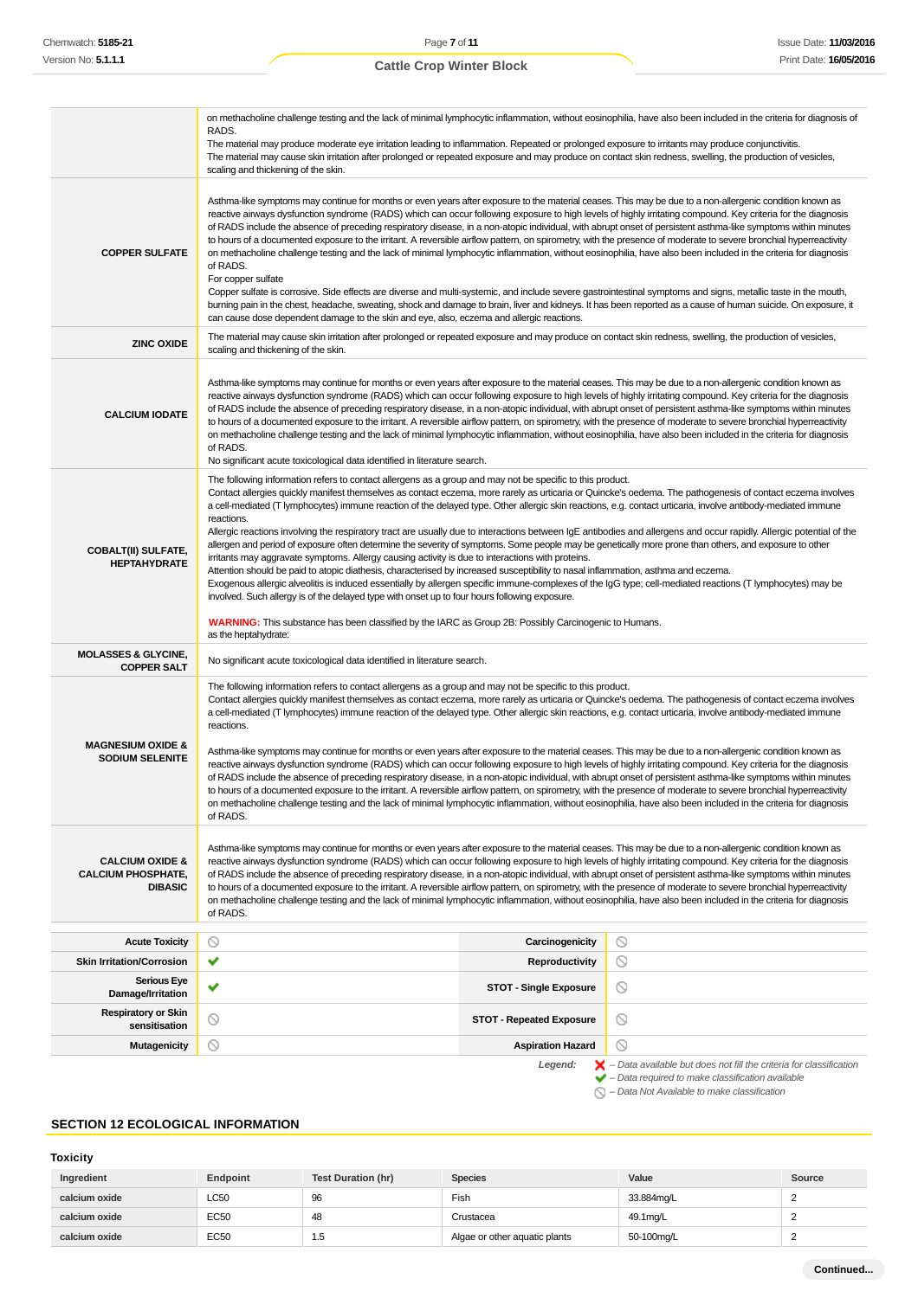|                                                                           | on methacholine challenge testing and the lack of minimal lymphocytic inflammation, without eosinophilia, have also been included in the criteria for diagnosis of<br>RADS.<br>The material may produce moderate eye irritation leading to inflammation. Repeated or prolonged exposure to irritants may produce conjunctivitis.<br>The material may cause skin irritation after prolonged or repeated exposure and may produce on contact skin redness, swelling, the production of vesicles,<br>scaling and thickening of the skin.                                                                                                                                                                                                                                                                                                                                                                                                                                                                                                                                                                                                                                                                                                                                                                                                                                                                                                   |                                                                                                                                                                    |  |  |  |
|---------------------------------------------------------------------------|-----------------------------------------------------------------------------------------------------------------------------------------------------------------------------------------------------------------------------------------------------------------------------------------------------------------------------------------------------------------------------------------------------------------------------------------------------------------------------------------------------------------------------------------------------------------------------------------------------------------------------------------------------------------------------------------------------------------------------------------------------------------------------------------------------------------------------------------------------------------------------------------------------------------------------------------------------------------------------------------------------------------------------------------------------------------------------------------------------------------------------------------------------------------------------------------------------------------------------------------------------------------------------------------------------------------------------------------------------------------------------------------------------------------------------------------|--------------------------------------------------------------------------------------------------------------------------------------------------------------------|--|--|--|
| <b>COPPER SULFATE</b>                                                     | Asthma-like symptoms may continue for months or even years after exposure to the material ceases. This may be due to a non-allergenic condition known as<br>reactive airways dysfunction syndrome (RADS) which can occur following exposure to high levels of highly irritating compound. Key criteria for the diagnosis<br>of RADS include the absence of preceding respiratory disease, in a non-atopic individual, with abrupt onset of persistent asthma-like symptoms within minutes<br>to hours of a documented exposure to the irritant. A reversible airflow pattern, on spirometry, with the presence of moderate to severe bronchial hyperreactivity<br>on methacholine challenge testing and the lack of minimal lymphocytic inflammation, without eosinophilia, have also been included in the criteria for diagnosis<br>of RADS.<br>For copper sulfate<br>Copper sulfate is corrosive. Side effects are diverse and multi-systemic, and include severe gastrointestinal symptoms and signs, metallic taste in the mouth,<br>burning pain in the chest, headache, sweating, shock and damage to brain, liver and kidneys. It has been reported as a cause of human suicide. On exposure, it<br>can cause dose dependent damage to the skin and eye, also, eczema and allergic reactions.                                                                                                                                    |                                                                                                                                                                    |  |  |  |
| <b>ZINC OXIDE</b>                                                         | The material may cause skin irritation after prolonged or repeated exposure and may produce on contact skin redness, swelling, the production of vesicles,<br>scaling and thickening of the skin.                                                                                                                                                                                                                                                                                                                                                                                                                                                                                                                                                                                                                                                                                                                                                                                                                                                                                                                                                                                                                                                                                                                                                                                                                                       |                                                                                                                                                                    |  |  |  |
| <b>CALCIUM IODATE</b>                                                     | Asthma-like symptoms may continue for months or even years after exposure to the material ceases. This may be due to a non-allergenic condition known as<br>reactive airways dysfunction syndrome (RADS) which can occur following exposure to high levels of highly irritating compound. Key criteria for the diagnosis<br>of RADS include the absence of preceding respiratory disease, in a non-atopic individual, with abrupt onset of persistent asthma-like symptoms within minutes<br>to hours of a documented exposure to the irritant. A reversible airflow pattern, on spirometry, with the presence of moderate to severe bronchial hyperreactivity<br>on methacholine challenge testing and the lack of minimal lymphocytic inflammation, without eosinophilia, have also been included in the criteria for diagnosis<br>of RADS.<br>No significant acute toxicological data identified in literature search.                                                                                                                                                                                                                                                                                                                                                                                                                                                                                                               |                                                                                                                                                                    |  |  |  |
| <b>COBALT(II) SULFATE,</b><br><b>HEPTAHYDRATE</b>                         | The following information refers to contact allergens as a group and may not be specific to this product.<br>Contact allergies quickly manifest themselves as contact eczema, more rarely as urticaria or Quincke's oedema. The pathogenesis of contact eczema involves<br>a cell-mediated (T lymphocytes) immune reaction of the delayed type. Other allergic skin reactions, e.g. contact urticaria, involve antibody-mediated immune<br>reactions.<br>Allergic reactions involving the respiratory tract are usually due to interactions between IgE antibodies and allergens and occur rapidly. Allergic potential of the<br>allergen and period of exposure often determine the severity of symptoms. Some people may be genetically more prone than others, and exposure to other<br>irritants may aggravate symptoms. Allergy causing activity is due to interactions with proteins.<br>Attention should be paid to atopic diathesis, characterised by increased susceptibility to nasal inflammation, asthma and eczema.<br>Exogenous allergic alveolitis is induced essentially by allergen specific immune-complexes of the IgG type; cell-mediated reactions (T lymphocytes) may be<br>involved. Such allergy is of the delayed type with onset up to four hours following exposure.<br><b>WARNING:</b> This substance has been classified by the IARC as Group 2B: Possibly Carcinogenic to Humans.<br>as the heptahydrate: |                                                                                                                                                                    |  |  |  |
| <b>MOLASSES &amp; GLYCINE,</b><br><b>COPPER SALT</b>                      | No significant acute toxicological data identified in literature search.                                                                                                                                                                                                                                                                                                                                                                                                                                                                                                                                                                                                                                                                                                                                                                                                                                                                                                                                                                                                                                                                                                                                                                                                                                                                                                                                                                |                                                                                                                                                                    |  |  |  |
| <b>MAGNESIUM OXIDE &amp;</b><br><b>SODIUM SELENITE</b>                    | The following information refers to contact allergens as a group and may not be specific to this product.<br>Contact allergies quickly manifest themselves as contact eczema, more rarely as urticaria or Quincke's oedema. The pathogenesis of contact eczema involves<br>a cell-mediated (T lymphocytes) immune reaction of the delayed type. Other allergic skin reactions, e.g. contact urticaria, involve antibody-mediated immune<br>reactions.<br>Asthma-like symptoms may continue for months or even years after exposure to the material ceases. This may be due to a non-allergenic condition known as<br>reactive airways dysfunction syndrome (RADS) which can occur following exposure to high levels of highly irritating compound. Key criteria for the diagnosis<br>of RADS include the absence of preceding respiratory disease, in a non-atopic individual, with abrupt onset of persistent asthma-like symptoms within minutes<br>to hours of a documented exposure to the irritant. A reversible airflow pattern, on spirometry, with the presence of moderate to severe bronchial hyperreactivity<br>on methacholine challenge testing and the lack of minimal lymphocytic inflammation, without eosinophilia, have also been included in the criteria for diagnosis<br>of RADS.                                                                                                                                  |                                                                                                                                                                    |  |  |  |
| <b>CALCIUM OXIDE &amp;</b><br><b>CALCIUM PHOSPHATE,</b><br><b>DIBASIC</b> | Asthma-like symptoms may continue for months or even years after exposure to the material ceases. This may be due to a non-allergenic condition known as<br>reactive airways dysfunction syndrome (RADS) which can occur following exposure to high levels of highly irritating compound. Key criteria for the diagnosis<br>of RADS include the absence of preceding respiratory disease, in a non-atopic individual, with abrupt onset of persistent asthma-like symptoms within minutes<br>to hours of a documented exposure to the irritant. A reversible airflow pattern, on spirometry, with the presence of moderate to severe bronchial hyperreactivity<br>on methacholine challenge testing and the lack of minimal lymphocytic inflammation, without eosinophilia, have also been included in the criteria for diagnosis<br>of RADS.                                                                                                                                                                                                                                                                                                                                                                                                                                                                                                                                                                                           |                                                                                                                                                                    |  |  |  |
| <b>Acute Toxicity</b>                                                     | $\circledcirc$<br>Carcinogenicity                                                                                                                                                                                                                                                                                                                                                                                                                                                                                                                                                                                                                                                                                                                                                                                                                                                                                                                                                                                                                                                                                                                                                                                                                                                                                                                                                                                                       | $\circ$                                                                                                                                                            |  |  |  |
| <b>Skin Irritation/Corrosion</b>                                          | ✔<br>Reproductivity                                                                                                                                                                                                                                                                                                                                                                                                                                                                                                                                                                                                                                                                                                                                                                                                                                                                                                                                                                                                                                                                                                                                                                                                                                                                                                                                                                                                                     | $\circledcirc$                                                                                                                                                     |  |  |  |
| <b>Serious Eye</b><br>Damage/Irritation                                   | v<br><b>STOT - Single Exposure</b>                                                                                                                                                                                                                                                                                                                                                                                                                                                                                                                                                                                                                                                                                                                                                                                                                                                                                                                                                                                                                                                                                                                                                                                                                                                                                                                                                                                                      | $\circledcirc$                                                                                                                                                     |  |  |  |
| <b>Respiratory or Skin</b><br>sensitisation                               | $\circledcirc$<br>O<br><b>STOT - Repeated Exposure</b>                                                                                                                                                                                                                                                                                                                                                                                                                                                                                                                                                                                                                                                                                                                                                                                                                                                                                                                                                                                                                                                                                                                                                                                                                                                                                                                                                                                  |                                                                                                                                                                    |  |  |  |
| <b>Mutagenicity</b>                                                       | $\odot$<br><b>Aspiration Hazard</b>                                                                                                                                                                                                                                                                                                                                                                                                                                                                                                                                                                                                                                                                                                                                                                                                                                                                                                                                                                                                                                                                                                                                                                                                                                                                                                                                                                                                     | ◎                                                                                                                                                                  |  |  |  |
|                                                                           | Legend:                                                                                                                                                                                                                                                                                                                                                                                                                                                                                                                                                                                                                                                                                                                                                                                                                                                                                                                                                                                                                                                                                                                                                                                                                                                                                                                                                                                                                                 | $\blacktriangleright$ - Data available but does not fill the criteria for classification<br>$\blacktriangleright$ - Data required to make classification available |  |  |  |

 $\bigcirc$  – Data Not Available to make classification

# **SECTION 12 ECOLOGICAL INFORMATION**

# **Toxicity**

| Ingredient    | <b>Endpoint</b> | <b>Test Duration (hr)</b> | <b>Species</b>                | Value      | Source |
|---------------|-----------------|---------------------------|-------------------------------|------------|--------|
| calcium oxide | <b>LC50</b>     | 96                        | Fish                          | 33.884mg/L |        |
| calcium oxide | <b>EC50</b>     | 48                        | Crustacea                     | 49.1mg/L   |        |
| calcium oxide | <b>EC50</b>     | 1.5                       | Algae or other aquatic plants | 50-100mg/L |        |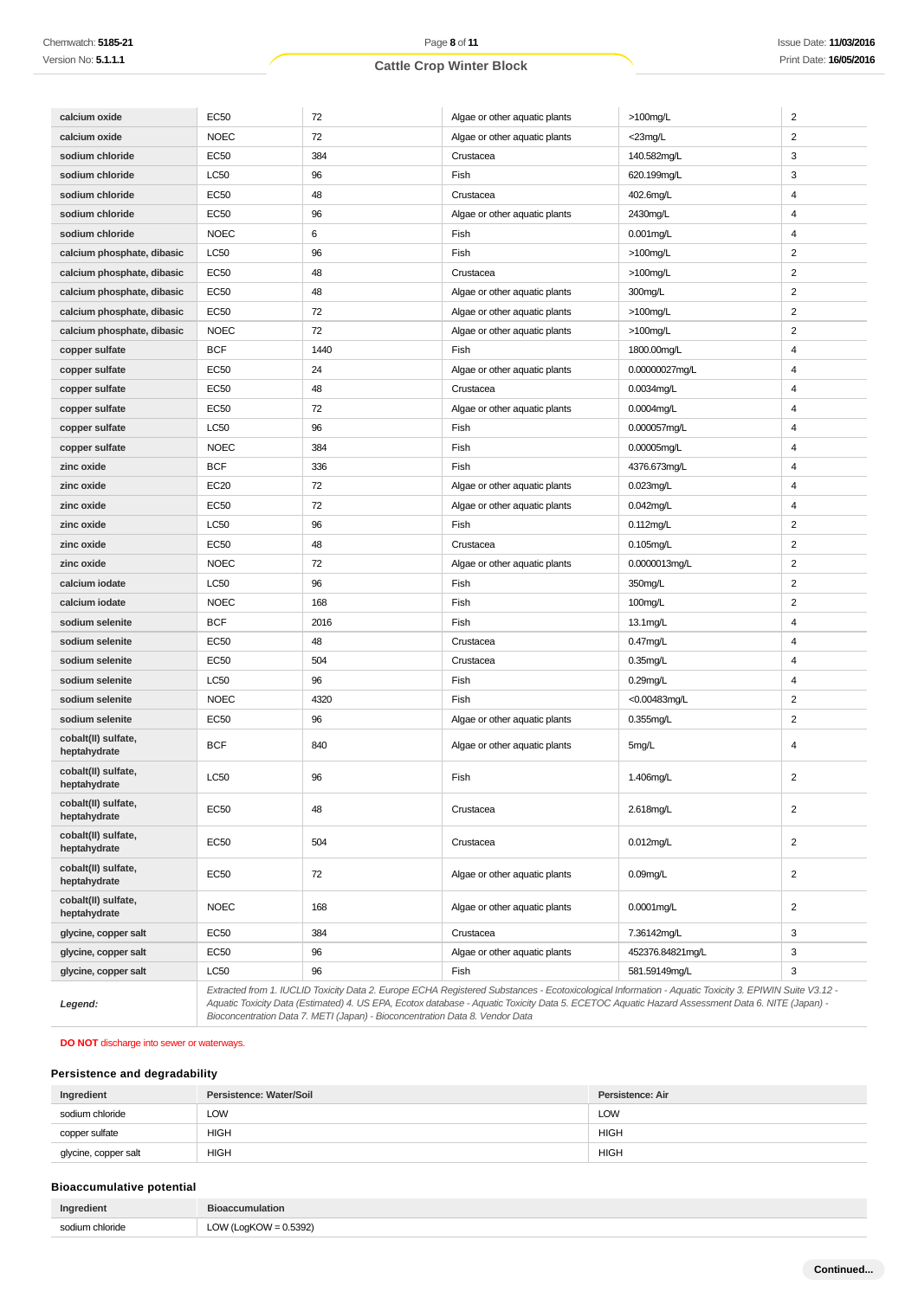| calcium oxide                       | <b>EC50</b> | 72   | Algae or other aquatic plants                                                                                                                                                                                                                                                                            | >100mg/L         | $\sqrt{2}$              |
|-------------------------------------|-------------|------|----------------------------------------------------------------------------------------------------------------------------------------------------------------------------------------------------------------------------------------------------------------------------------------------------------|------------------|-------------------------|
| calcium oxide                       | <b>NOEC</b> | 72   | Algae or other aquatic plants                                                                                                                                                                                                                                                                            | <23mg/L          | $\overline{2}$          |
| sodium chloride                     | EC50        | 384  | Crustacea                                                                                                                                                                                                                                                                                                | 140.582mg/L      | 3                       |
| sodium chloride                     | LC50        | 96   | Fish                                                                                                                                                                                                                                                                                                     | 620.199mg/L      | 3                       |
| sodium chloride                     | EC50        | 48   | Crustacea                                                                                                                                                                                                                                                                                                | 402.6mg/L        | 4                       |
| sodium chloride                     | EC50        | 96   | Algae or other aquatic plants                                                                                                                                                                                                                                                                            | 2430mg/L         | 4                       |
| sodium chloride                     | <b>NOEC</b> | 6    | Fish                                                                                                                                                                                                                                                                                                     | $0.001$ mg/L     | $\overline{4}$          |
| calcium phosphate, dibasic          | LC50        | 96   | Fish                                                                                                                                                                                                                                                                                                     | >100mg/L         | $\overline{c}$          |
| calcium phosphate, dibasic          | <b>EC50</b> | 48   | Crustacea                                                                                                                                                                                                                                                                                                | >100mg/L         | $\overline{c}$          |
| calcium phosphate, dibasic          | EC50        | 48   | Algae or other aquatic plants                                                                                                                                                                                                                                                                            | 300mg/L          | $\overline{2}$          |
| calcium phosphate, dibasic          | EC50        | 72   | Algae or other aquatic plants                                                                                                                                                                                                                                                                            | $>100$ mg/L      | $\overline{2}$          |
| calcium phosphate, dibasic          | <b>NOEC</b> | 72   | Algae or other aquatic plants                                                                                                                                                                                                                                                                            | $>100$ mg/L      | $\overline{\mathbf{c}}$ |
| copper sulfate                      | <b>BCF</b>  | 1440 | Fish                                                                                                                                                                                                                                                                                                     | 1800.00mg/L      | 4                       |
| copper sulfate                      | <b>EC50</b> | 24   | Algae or other aquatic plants                                                                                                                                                                                                                                                                            | 0.00000027mg/L   | 4                       |
| copper sulfate                      | EC50        | 48   | Crustacea                                                                                                                                                                                                                                                                                                | $0.0034$ mg/L    | $\overline{\mathbf{4}}$ |
| copper sulfate                      | EC50        | 72   | Algae or other aquatic plants                                                                                                                                                                                                                                                                            | 0.0004mg/L       | 4                       |
| copper sulfate                      | LC50        | 96   | Fish                                                                                                                                                                                                                                                                                                     | 0.000057mg/L     | $\overline{\mathbf{4}}$ |
| copper sulfate                      | <b>NOEC</b> | 384  | Fish                                                                                                                                                                                                                                                                                                     | 0.00005mg/L      | 4                       |
| zinc oxide                          | <b>BCF</b>  | 336  | Fish                                                                                                                                                                                                                                                                                                     | 4376.673mg/L     | 4                       |
| zinc oxide                          | EC20        | 72   | Algae or other aquatic plants                                                                                                                                                                                                                                                                            | $0.023$ mg/L     | 4                       |
| zinc oxide                          | EC50        | 72   | Algae or other aquatic plants                                                                                                                                                                                                                                                                            | 0.042mg/L        | 4                       |
| zinc oxide                          | LC50        | 96   | Fish                                                                                                                                                                                                                                                                                                     | $0.112$ mg/L     | $\overline{\mathbf{c}}$ |
| zinc oxide                          | EC50        | 48   | Crustacea                                                                                                                                                                                                                                                                                                | 0.105mg/L        | $\overline{2}$          |
| zinc oxide                          | <b>NOEC</b> | 72   | Algae or other aquatic plants                                                                                                                                                                                                                                                                            | 0.0000013mg/L    | $\overline{2}$          |
| calcium iodate                      | LC50        | 96   | Fish                                                                                                                                                                                                                                                                                                     | 350mg/L          | $\overline{2}$          |
| calcium iodate                      | <b>NOEC</b> | 168  | Fish                                                                                                                                                                                                                                                                                                     | 100mg/L          | $\overline{c}$          |
| sodium selenite                     | <b>BCF</b>  | 2016 | Fish                                                                                                                                                                                                                                                                                                     | 13.1mg/L         | $\overline{\mathbf{4}}$ |
| sodium selenite                     | <b>EC50</b> | 48   | Crustacea                                                                                                                                                                                                                                                                                                | 0.47mg/L         | 4                       |
| sodium selenite                     | <b>EC50</b> | 504  | Crustacea                                                                                                                                                                                                                                                                                                | $0.35$ mg/L      | 4                       |
| sodium selenite                     | LC50        | 96   | Fish                                                                                                                                                                                                                                                                                                     | $0.29$ mg/L      | $\overline{\mathbf{4}}$ |
| sodium selenite                     | <b>NOEC</b> | 4320 | Fish                                                                                                                                                                                                                                                                                                     | <0.00483mg/L     | $\overline{c}$          |
| sodium selenite                     | <b>EC50</b> | 96   | Algae or other aquatic plants                                                                                                                                                                                                                                                                            | 0.355mg/L        | $\boldsymbol{2}$        |
| cobalt(II) sulfate,<br>heptahydrate | <b>BCF</b>  | 840  | Algae or other aquatic plants                                                                                                                                                                                                                                                                            | 5mg/L            | 4                       |
| cobalt(II) sulfate,<br>heptahydrate | LC50        | 96   | Fish                                                                                                                                                                                                                                                                                                     | 1.406mg/L        | $\overline{c}$          |
| cobalt(II) sulfate,<br>heptahydrate | EC50        | 48   | Crustacea                                                                                                                                                                                                                                                                                                | 2.618mg/L        | $\overline{2}$          |
| cobalt(II) sulfate,<br>heptahydrate | EC50        | 504  | Crustacea                                                                                                                                                                                                                                                                                                | 0.012mg/L        | $\overline{2}$          |
| cobalt(II) sulfate,<br>heptahydrate | EC50        | 72   | Algae or other aquatic plants                                                                                                                                                                                                                                                                            | $0.09$ mg/L      | $\overline{2}$          |
| cobalt(II) sulfate,<br>heptahydrate | <b>NOEC</b> | 168  | Algae or other aquatic plants                                                                                                                                                                                                                                                                            | 0.0001mg/L       | $\overline{2}$          |
| glycine, copper salt                | EC50        | 384  | Crustacea                                                                                                                                                                                                                                                                                                | 7.36142mg/L      | 3                       |
| glycine, copper salt                | EC50        | 96   | Algae or other aquatic plants                                                                                                                                                                                                                                                                            | 452376.84821mg/L | 3                       |
| glycine, copper salt                | LC50        | 96   | Fish                                                                                                                                                                                                                                                                                                     | 581.59149mg/L    | 3                       |
| Legend:                             |             |      | Extracted from 1. IUCLID Toxicity Data 2. Europe ECHA Registered Substances - Ecotoxicological Information - Aquatic Toxicity 3. EPIWIN Suite V3.12 -<br>Aquatic Toxicity Data (Estimated) 4. US EPA, Ecotox database - Aquatic Toxicity Data 5. ECETOC Aquatic Hazard Assessment Data 6. NITE (Japan) - |                  |                         |

Aquatic Toxicity Data (Estimated) 4. US EPA, Ecotox database - Aquatic Toxicity Data 5. ECETOC Aquatic Hazard Assessment Data 6. NITE (Japan) - Bioconcentration Data 7. METI (Japan) - Bioconcentration Data 8. Vendor Data

#### **DO NOT** discharge into sewer or waterways.

# **Persistence and degradability**

| Ingredient           | Persistence: Water/Soil | Persistence: Air |
|----------------------|-------------------------|------------------|
| sodium chloride      | LOW                     | <b>LOW</b>       |
| copper sulfate       | HIGH                    | <b>HIGH</b>      |
| glycine, copper salt | <b>HIGH</b>             | <b>HIGH</b>      |

# **Bioaccumulative potential**

| Ingredient   | <b>Bioaccumulation</b> |
|--------------|------------------------|
| ium chloride | $(LogKOW = 0.5392)$    |
| e∩dii        | <b>LOW</b>             |
|              |                        |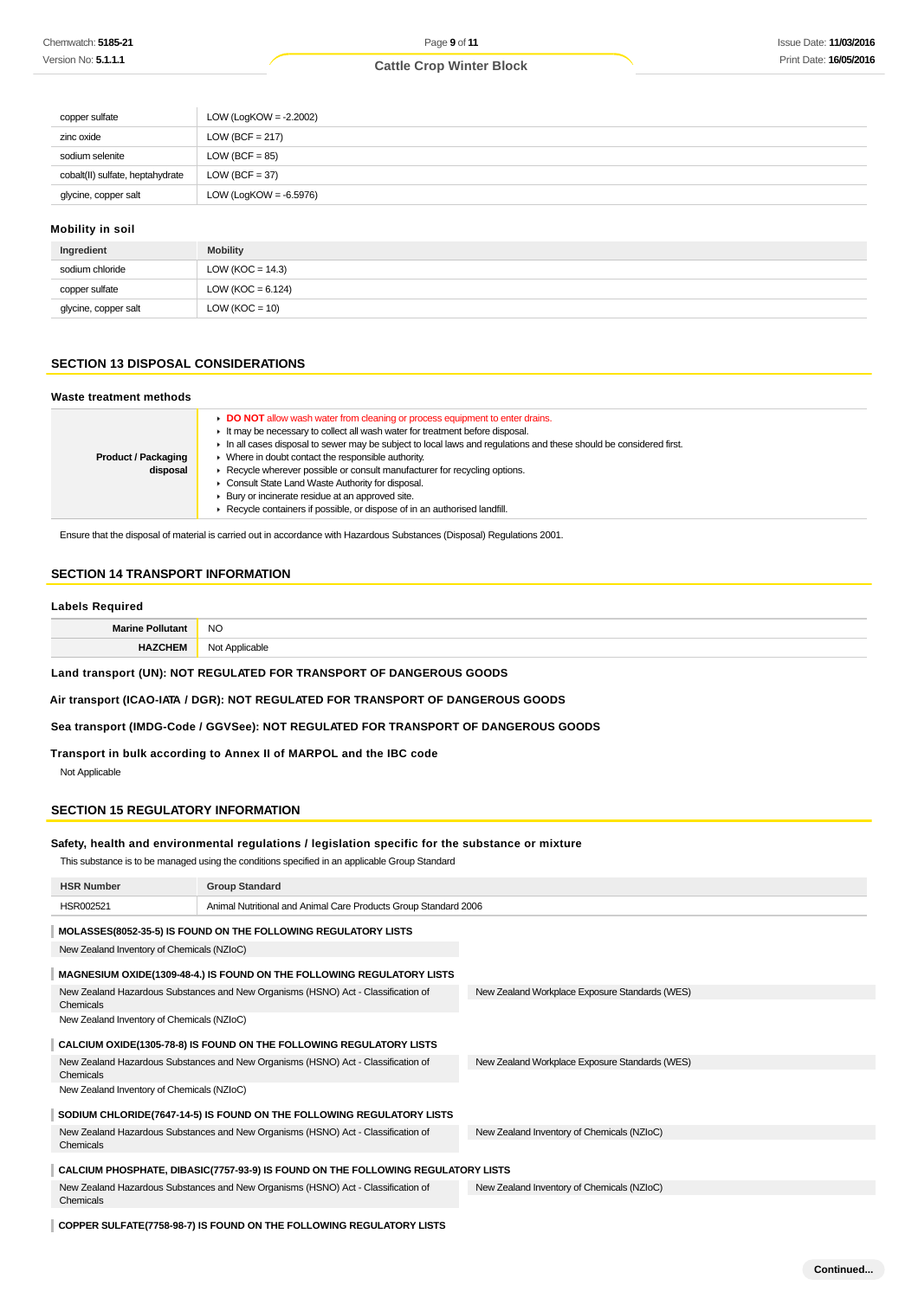| copper sulfate                   | LOW (LogKOW = $-2.2002$ ) |
|----------------------------------|---------------------------|
| zinc oxide                       | LOW (BCF = $217$ )        |
| sodium selenite                  | $LOW (BCF = 85)$          |
| cobalt(II) sulfate, heptahydrate | $LOW (BCF = 37)$          |
| glycine, copper salt             | LOW (LogKOW = $-6.5976$ ) |

### **Mobility in soil**

| Ingredient           | <b>Mobility</b>       |
|----------------------|-----------------------|
| sodium chloride      | LOW ( $KOC = 14.3$ )  |
| copper sulfate       | LOW ( $KOC = 6.124$ ) |
| glycine, copper salt | $LOW (KOC = 10)$      |

## **SECTION 13 DISPOSAL CONSIDERATIONS**

#### **Waste treatment methods**

| <b>Product / Packaging</b><br>disposal | ► DO NOT allow wash water from cleaning or process equipment to enter drains.<br>It may be necessary to collect all wash water for treatment before disposal.<br>In all cases disposal to sewer may be subject to local laws and regulations and these should be considered first.<br>• Where in doubt contact the responsible authority.<br>► Recycle wherever possible or consult manufacturer for recycling options.<br>• Consult State Land Waste Authority for disposal. |
|----------------------------------------|-------------------------------------------------------------------------------------------------------------------------------------------------------------------------------------------------------------------------------------------------------------------------------------------------------------------------------------------------------------------------------------------------------------------------------------------------------------------------------|
|                                        | ▶ Bury or incinerate residue at an approved site.                                                                                                                                                                                                                                                                                                                                                                                                                             |
|                                        | Recycle containers if possible, or dispose of in an authorised landfill.                                                                                                                                                                                                                                                                                                                                                                                                      |

Ensure that the disposal of material is carried out in accordance with Hazardous Substances (Disposal) Regulations 2001.

# **SECTION 14 TRANSPORT INFORMATION**

#### **Labels Required**

| NC.<br>__ |
|-----------|
|           |

# **Land transport (UN): NOT REGULATED FOR TRANSPORT OF DANGEROUS GOODS**

# **Air transport (ICAO-IATA / DGR): NOT REGULATED FOR TRANSPORT OF DANGEROUS GOODS**

#### **Sea transport (IMDG-Code / GGVSee): NOT REGULATED FOR TRANSPORT OF DANGEROUS GOODS**

# **Transport in bulk according to Annex II of MARPOL and the IBC code**

Not Applicable

# **SECTION 15 REGULATORY INFORMATION**

#### **Safety, health and environmental regulations / legislation specific for the substance or mixture**

This substance is to be managed using the conditions specified in an applicable Group Standard

| <b>HSR Number</b>                                                                              | <b>Group Standard</b>                                                             |                                                |  |  |  |
|------------------------------------------------------------------------------------------------|-----------------------------------------------------------------------------------|------------------------------------------------|--|--|--|
| HSR002521                                                                                      | Animal Nutritional and Animal Care Products Group Standard 2006                   |                                                |  |  |  |
|                                                                                                | MOLASSES(8052-35-5) IS FOUND ON THE FOLLOWING REGULATORY LISTS                    |                                                |  |  |  |
| New Zealand Inventory of Chemicals (NZIoC)                                                     |                                                                                   |                                                |  |  |  |
|                                                                                                | MAGNESIUM OXIDE(1309-48-4.) IS FOUND ON THE FOLLOWING REGULATORY LISTS            |                                                |  |  |  |
| New Zealand Hazardous Substances and New Organisms (HSNO) Act - Classification of<br>Chemicals |                                                                                   | New Zealand Workplace Exposure Standards (WES) |  |  |  |
| New Zealand Inventory of Chemicals (NZIoC)                                                     |                                                                                   |                                                |  |  |  |
|                                                                                                | CALCIUM OXIDE(1305-78-8) IS FOUND ON THE FOLLOWING REGULATORY LISTS               |                                                |  |  |  |
| New Zealand Hazardous Substances and New Organisms (HSNO) Act - Classification of<br>Chemicals |                                                                                   | New Zealand Workplace Exposure Standards (WES) |  |  |  |
| New Zealand Inventory of Chemicals (NZIoC)                                                     |                                                                                   |                                                |  |  |  |
|                                                                                                | SODIUM CHLORIDE(7647-14-5) IS FOUND ON THE FOLLOWING REGULATORY LISTS             |                                                |  |  |  |
| New Zealand Hazardous Substances and New Organisms (HSNO) Act - Classification of<br>Chemicals |                                                                                   | New Zealand Inventory of Chemicals (NZIoC)     |  |  |  |
| CALCIUM PHOSPHATE, DIBASIC(7757-93-9) IS FOUND ON THE FOLLOWING REGULATORY LISTS               |                                                                                   |                                                |  |  |  |
| Chemicals                                                                                      | New Zealand Hazardous Substances and New Organisms (HSNO) Act - Classification of | New Zealand Inventory of Chemicals (NZIoC)     |  |  |  |
|                                                                                                |                                                                                   |                                                |  |  |  |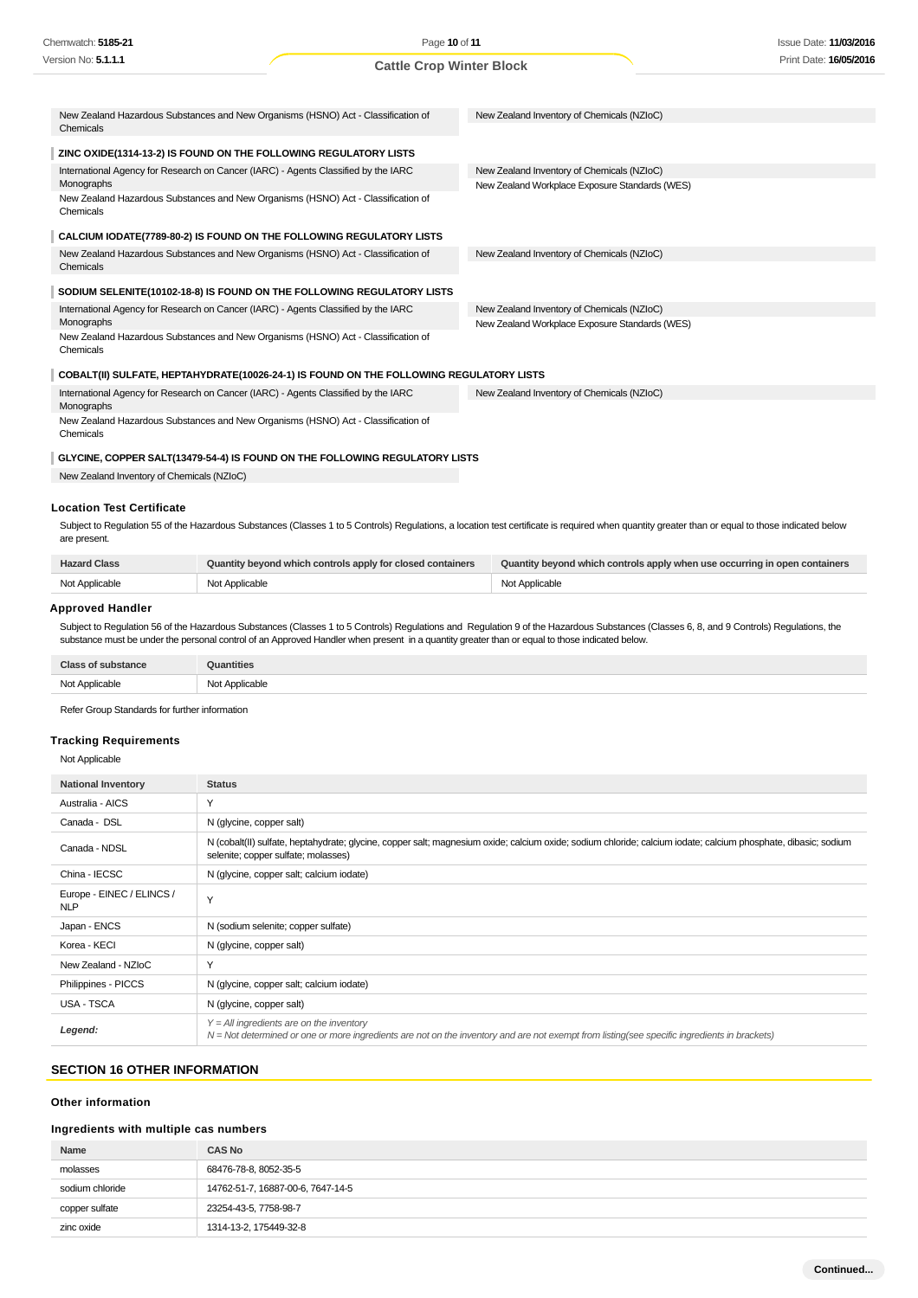| Chemwatch: 5185-21                                                                               | Page 10 of 11                   |                                                | <b>Issue Date: 11/03/2016</b> |
|--------------------------------------------------------------------------------------------------|---------------------------------|------------------------------------------------|-------------------------------|
| Version No: 5.1.1.1                                                                              | <b>Cattle Crop Winter Block</b> |                                                | Print Date: 16/05/2016        |
|                                                                                                  |                                 |                                                |                               |
| New Zealand Hazardous Substances and New Organisms (HSNO) Act - Classification of<br>Chemicals   |                                 | New Zealand Inventory of Chemicals (NZIoC)     |                               |
| ZINC OXIDE(1314-13-2) IS FOUND ON THE FOLLOWING REGULATORY LISTS                                 |                                 |                                                |                               |
| International Agency for Research on Cancer (IARC) - Agents Classified by the IARC               |                                 | New Zealand Inventory of Chemicals (NZIoC)     |                               |
| Monographs                                                                                       |                                 | New Zealand Workplace Exposure Standards (WES) |                               |
| New Zealand Hazardous Substances and New Organisms (HSNO) Act - Classification of<br>Chemicals   |                                 |                                                |                               |
| CALCIUM IODATE(7789-80-2) IS FOUND ON THE FOLLOWING REGULATORY LISTS                             |                                 |                                                |                               |
| New Zealand Hazardous Substances and New Organisms (HSNO) Act - Classification of<br>Chemicals   |                                 | New Zealand Inventory of Chemicals (NZIoC)     |                               |
| SODIUM SELENITE(10102-18-8) IS FOUND ON THE FOLLOWING REGULATORY LISTS                           |                                 |                                                |                               |
| International Agency for Research on Cancer (IARC) - Agents Classified by the IARC               |                                 | New Zealand Inventory of Chemicals (NZIoC)     |                               |
| Monographs                                                                                       |                                 | New Zealand Workplace Exposure Standards (WES) |                               |
| New Zealand Hazardous Substances and New Organisms (HSNO) Act - Classification of<br>Chemicals   |                                 |                                                |                               |
| COBALT(II) SULFATE, HEPTAHYDRATE(10026-24-1) IS FOUND ON THE FOLLOWING REGULATORY LISTS          |                                 |                                                |                               |
| International Agency for Research on Cancer (IARC) - Agents Classified by the IARC<br>Monographs |                                 | New Zealand Inventory of Chemicals (NZIoC)     |                               |
| New Zealand Hazardous Substances and New Organisms (HSNO) Act - Classification of<br>Chemicals   |                                 |                                                |                               |

#### **GLYCINE, COPPER SALT(13479-54-4) IS FOUND ON THE FOLLOWING REGULATORY LISTS**

New Zealand Inventory of Chemicals (NZIoC)

# **Location Test Certificate**

Subject to Regulation 55 of the Hazardous Substances (Classes 1 to 5 Controls) Regulations, a location test certificate is required when quantity greater than or equal to those indicated below are present.

| <b>Hazard Class</b> | Quantity beyond which controls apply for closed containers | Quantity beyond which controls apply when use occurring in open containers |
|---------------------|------------------------------------------------------------|----------------------------------------------------------------------------|
| Not Applicable      | Not Applicable                                             | Not Applicable                                                             |

#### **Approved Handler**

Subject to Regulation 56 of the Hazardous Substances (Classes 1 to 5 Controls) Regulations and Regulation 9 of the Hazardous Substances (Classes 6, 8, and 9 Controls) Regulations, the substance must be under the personal control of an Approved Handler when present in a quantity greater than or equal to those indicated below.

| <b>Class of substance</b> | <b>Quantities</b> |
|---------------------------|-------------------|
| Not Applicable            | Not Applicable    |

Refer Group Standards for further information

# **Tracking Requirements**

Not Applicable

| <b>National Inventory</b>               | <b>Status</b>                                                                                                                                                                                         |
|-----------------------------------------|-------------------------------------------------------------------------------------------------------------------------------------------------------------------------------------------------------|
| Australia - AICS                        | Y                                                                                                                                                                                                     |
| Canada - DSL                            | N (glycine, copper salt)                                                                                                                                                                              |
| Canada - NDSL                           | N (cobalt(II) sulfate, heptahydrate; glycine, copper salt; magnesium oxide; calcium oxide; sodium chloride; calcium iodate; calcium phosphate, dibasic; sodium<br>selenite; copper sulfate; molasses) |
| China - IECSC                           | N (glycine, copper salt; calcium iodate)                                                                                                                                                              |
| Europe - EINEC / ELINCS /<br><b>NLP</b> | $\checkmark$                                                                                                                                                                                          |
| Japan - ENCS                            | N (sodium selenite; copper sulfate)                                                                                                                                                                   |
| Korea - KECI                            | N (glycine, copper salt)                                                                                                                                                                              |
| New Zealand - NZIoC                     | Υ                                                                                                                                                                                                     |
| Philippines - PICCS                     | N (glycine, copper salt; calcium iodate)                                                                                                                                                              |
| USA - TSCA                              | N (glycine, copper salt)                                                                                                                                                                              |
| Legend:                                 | $Y = All$ ingredients are on the inventory<br>N = Not determined or one or more ingredients are not on the inventory and are not exempt from listing(see specific ingredients in brackets)            |

## **SECTION 16 OTHER INFORMATION**

# **Other information**

#### **Ingredients with multiple cas numbers**

| Name            | <b>CAS No</b>                     |
|-----------------|-----------------------------------|
| molasses        | 68476-78-8, 8052-35-5             |
| sodium chloride | 14762-51-7, 16887-00-6, 7647-14-5 |
| copper sulfate  | 23254-43-5, 7758-98-7             |
| zinc oxide      | 1314-13-2, 175449-32-8            |